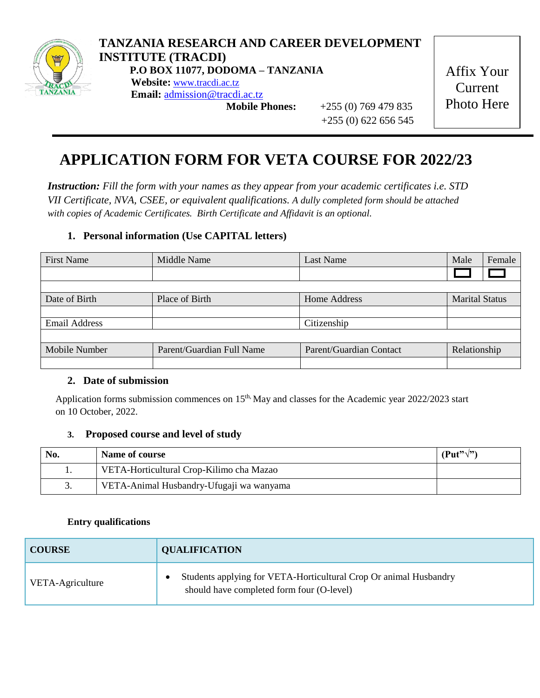

# **TANZANIA RESEARCH AND CAREER DEVELOPMENT INSTITUTE (TRACDI) P.O BOX 11077, DODOMA – TANZANIA**

**Website:** [www.tracdi.ac.tz](http://www.tracdi.ac.tz/) **Email:** [admission@tracdi.ac.tz](mailto:admission@tracdi.ac.tz)

 **Mobile Phones:** +255 (0) 769 479 835 +255 (0) 622 656 545

Affix Your Current Photo Here

# **APPLICATION FORM FOR VETA COURSE FOR 2022/23**

*Instruction: Fill the form with your names as they appear from your academic certificates i.e. STD VII Certificate, NVA, CSEE, or equivalent qualifications. A dully completed form should be attached with copies of Academic Certificates. Birth Certificate and Affidavit is an optional.*

## **1. Personal information (Use CAPITAL letters)**

| <b>First Name</b>    | Middle Name               | Last Name               | Male                  | Female |
|----------------------|---------------------------|-------------------------|-----------------------|--------|
|                      |                           |                         |                       |        |
|                      |                           |                         |                       |        |
| Date of Birth        | Place of Birth            | Home Address            | <b>Marital Status</b> |        |
|                      |                           |                         |                       |        |
| <b>Email Address</b> |                           | Citizenship             |                       |        |
|                      |                           |                         |                       |        |
| Mobile Number        | Parent/Guardian Full Name | Parent/Guardian Contact | Relationship          |        |
|                      |                           |                         |                       |        |

### **2. Date of submission**

Application forms submission commences on 15<sup>th,</sup> May and classes for the Academic year 2022/2023 start on 10 October, 2022.

### **3. Proposed course and level of study**

| No. | Name of course                           | $(Put"\vee")$ |
|-----|------------------------------------------|---------------|
| . . | VETA-Horticultural Crop-Kilimo cha Mazao |               |
| J.  | VETA-Animal Husbandry-Ufugaji wa wanyama |               |

#### **Entry qualifications**

| <b>COURSE</b>    | <b>QUALIFICATION</b>                                                                                           |  |  |
|------------------|----------------------------------------------------------------------------------------------------------------|--|--|
| VETA-Agriculture | Students applying for VETA-Horticultural Crop Or animal Husbandry<br>should have completed form four (O-level) |  |  |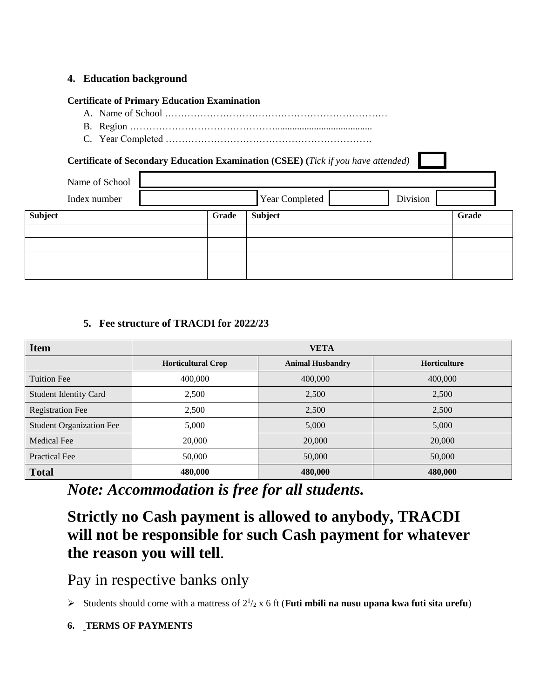#### **4. Education background**

#### **Certificate of Primary Education Examination**

- A. Name of School ……………………………………………………………
- B. Region ………………………………………........................................
- C. Year Completed ……………………………………………………….

### **Certificate of Secondary Education Examination (CSEE) (***Tick if you have attended)*

| Name of School<br>Index number |       | <b>Year Completed</b> | Division |       |
|--------------------------------|-------|-----------------------|----------|-------|
| Subject                        | Grade | <b>Subject</b>        |          | Grade |
|                                |       |                       |          |       |
|                                |       |                       |          |       |
|                                |       |                       |          |       |
|                                |       |                       |          |       |

#### **5. Fee structure of TRACDI for 2022/23**

| <b>Item</b>                     | <b>VETA</b>               |                         |              |  |
|---------------------------------|---------------------------|-------------------------|--------------|--|
|                                 | <b>Horticultural Crop</b> | <b>Animal Husbandry</b> | Horticulture |  |
| Tuition Fee                     | 400,000                   | 400,000                 | 400,000      |  |
| <b>Student Identity Card</b>    | 2,500                     | 2,500                   | 2,500        |  |
| <b>Registration Fee</b>         | 2,500                     | 2,500                   | 2,500        |  |
| <b>Student Organization Fee</b> | 5,000                     | 5,000                   | 5,000        |  |
| <b>Medical Fee</b>              | 20,000                    | 20,000                  | 20,000       |  |
| <b>Practical Fee</b>            | 50,000                    | 50,000                  | 50,000       |  |
| <b>Total</b>                    | 480,000                   | 480,000                 | 480,000      |  |

*Note: Accommodation is free for all students.*

**Strictly no Cash payment is allowed to anybody, TRACDI will not be responsible for such Cash payment for whatever the reason you will tell**.

Pay in respective banks only

Students should come with a mattress of  $2^{1/2}$  x 6 ft (**Futi mbili na nusu upana kwa futi sita urefu**)

**6. TERMS OF PAYMENTS**